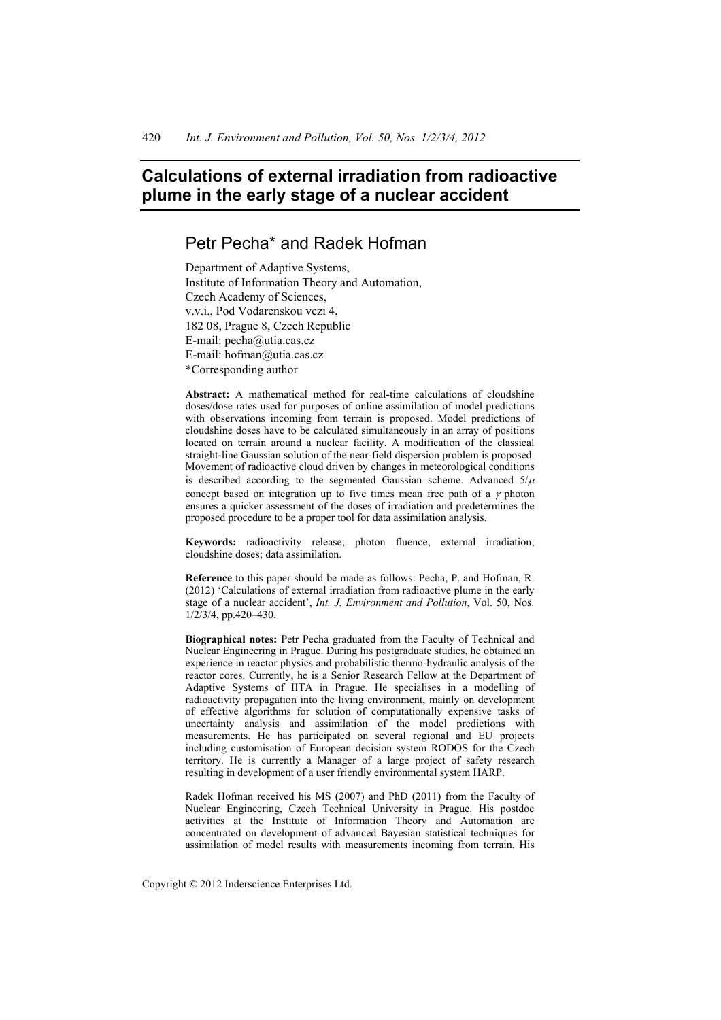# **Calculations of external irradiation from radioactive plume in the early stage of a nuclear accident**

## Petr Pecha\* and Radek Hofman

Department of Adaptive Systems, Institute of Information Theory and Automation, Czech Academy of Sciences, v.v.i., Pod Vodarenskou vezi 4, 182 08, Prague 8, Czech Republic E-mail: pecha@utia.cas.cz E-mail: hofman@utia.cas.cz \*Corresponding author

**Abstract:** A mathematical method for real-time calculations of cloudshine doses/dose rates used for purposes of online assimilation of model predictions with observations incoming from terrain is proposed. Model predictions of cloudshine doses have to be calculated simultaneously in an array of positions located on terrain around a nuclear facility. A modification of the classical straight-line Gaussian solution of the near-field dispersion problem is proposed. Movement of radioactive cloud driven by changes in meteorological conditions is described according to the segmented Gaussian scheme. Advanced  $5/\mu$ concept based on integration up to five times mean free path of a  $\nu$  photon ensures a quicker assessment of the doses of irradiation and predetermines the proposed procedure to be a proper tool for data assimilation analysis.

**Keywords:** radioactivity release; photon fluence; external irradiation; cloudshine doses; data assimilation.

**Reference** to this paper should be made as follows: Pecha, P. and Hofman, R. (2012) 'Calculations of external irradiation from radioactive plume in the early stage of a nuclear accident', *Int. J. Environment and Pollution*, Vol. 50, Nos. 1/2/3/4, pp.420–430.

**Biographical notes:** Petr Pecha graduated from the Faculty of Technical and Nuclear Engineering in Prague. During his postgraduate studies, he obtained an experience in reactor physics and probabilistic thermo-hydraulic analysis of the reactor cores. Currently, he is a Senior Research Fellow at the Department of Adaptive Systems of IITA in Prague. He specialises in a modelling of radioactivity propagation into the living environment, mainly on development of effective algorithms for solution of computationally expensive tasks of uncertainty analysis and assimilation of the model predictions with measurements. He has participated on several regional and EU projects including customisation of European decision system RODOS for the Czech territory. He is currently a Manager of a large project of safety research resulting in development of a user friendly environmental system HARP.

Radek Hofman received his MS (2007) and PhD (2011) from the Faculty of Nuclear Engineering, Czech Technical University in Prague. His postdoc activities at the Institute of Information Theory and Automation are concentrated on development of advanced Bayesian statistical techniques for assimilation of model results with measurements incoming from terrain. His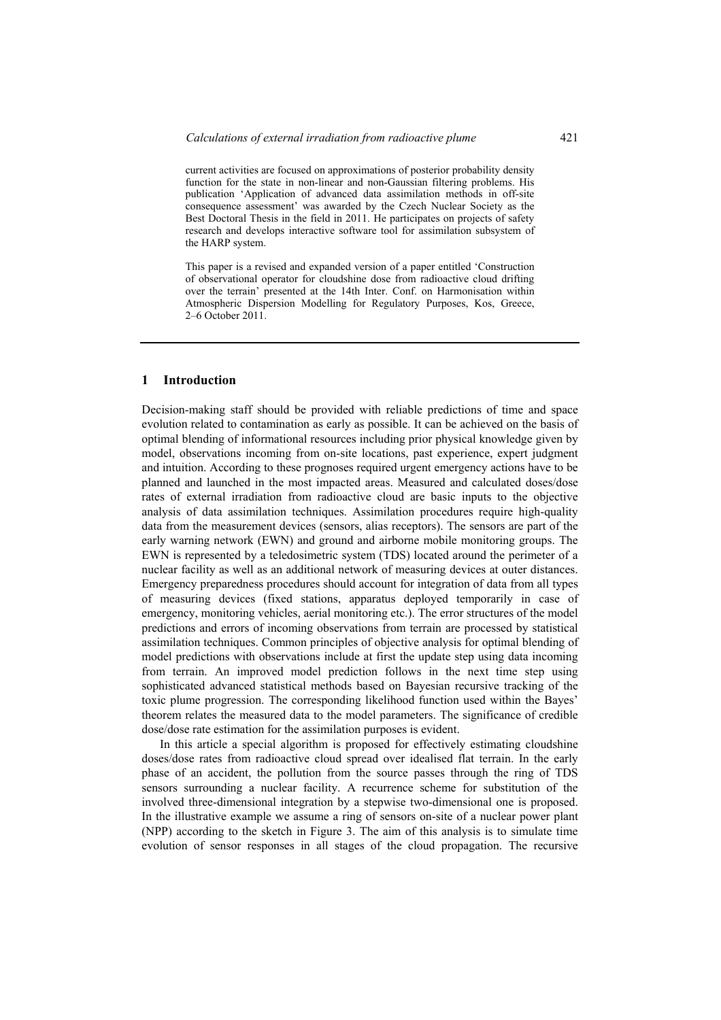current activities are focused on approximations of posterior probability density function for the state in non-linear and non-Gaussian filtering problems. His publication 'Application of advanced data assimilation methods in off-site consequence assessment' was awarded by the Czech Nuclear Society as the Best Doctoral Thesis in the field in 2011. He participates on projects of safety research and develops interactive software tool for assimilation subsystem of the HARP system.

This paper is a revised and expanded version of a paper entitled 'Construction of observational operator for cloudshine dose from radioactive cloud drifting over the terrain' presented at the 14th Inter. Conf. on Harmonisation within Atmospheric Dispersion Modelling for Regulatory Purposes, Kos, Greece, 2–6 October 2011.

#### **1 Introduction**

Decision-making staff should be provided with reliable predictions of time and space evolution related to contamination as early as possible. It can be achieved on the basis of optimal blending of informational resources including prior physical knowledge given by model, observations incoming from on-site locations, past experience, expert judgment and intuition. According to these prognoses required urgent emergency actions have to be planned and launched in the most impacted areas. Measured and calculated doses/dose rates of external irradiation from radioactive cloud are basic inputs to the objective analysis of data assimilation techniques. Assimilation procedures require high-quality data from the measurement devices (sensors, alias receptors). The sensors are part of the early warning network (EWN) and ground and airborne mobile monitoring groups. The EWN is represented by a teledosimetric system (TDS) located around the perimeter of a nuclear facility as well as an additional network of measuring devices at outer distances. Emergency preparedness procedures should account for integration of data from all types of measuring devices (fixed stations, apparatus deployed temporarily in case of emergency, monitoring vehicles, aerial monitoring etc.). The error structures of the model predictions and errors of incoming observations from terrain are processed by statistical assimilation techniques. Common principles of objective analysis for optimal blending of model predictions with observations include at first the update step using data incoming from terrain. An improved model prediction follows in the next time step using sophisticated advanced statistical methods based on Bayesian recursive tracking of the toxic plume progression. The corresponding likelihood function used within the Bayes' theorem relates the measured data to the model parameters. The significance of credible dose/dose rate estimation for the assimilation purposes is evident.

In this article a special algorithm is proposed for effectively estimating cloudshine doses/dose rates from radioactive cloud spread over idealised flat terrain. In the early phase of an accident, the pollution from the source passes through the ring of TDS sensors surrounding a nuclear facility. A recurrence scheme for substitution of the involved three-dimensional integration by a stepwise two-dimensional one is proposed. In the illustrative example we assume a ring of sensors on-site of a nuclear power plant (NPP) according to the sketch in Figure 3. The aim of this analysis is to simulate time evolution of sensor responses in all stages of the cloud propagation. The recursive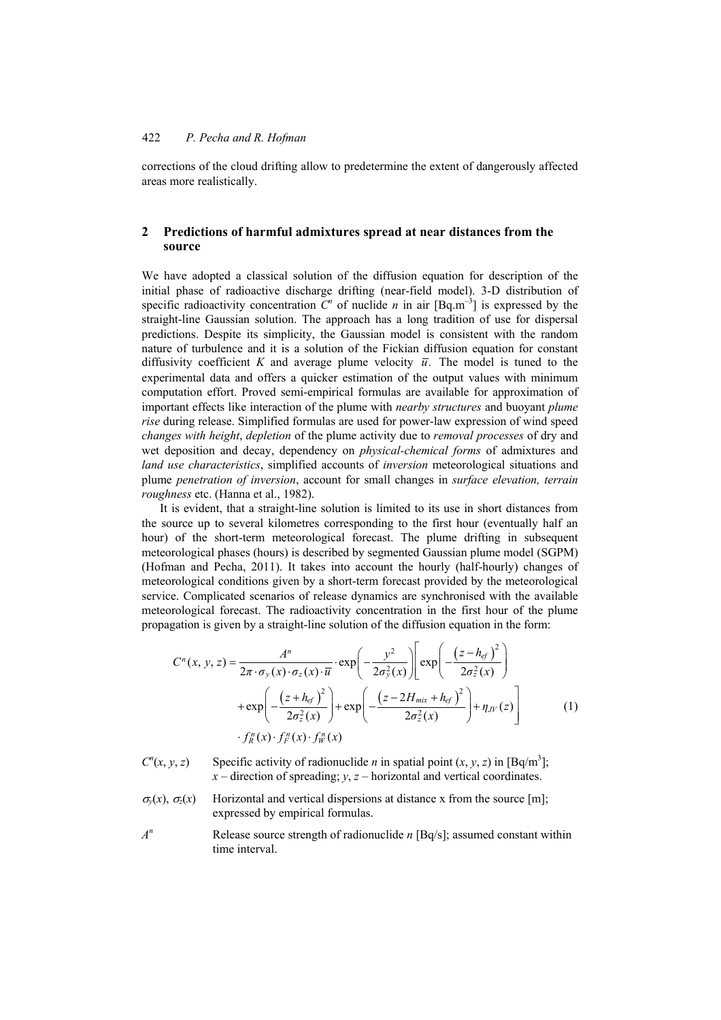corrections of the cloud drifting allow to predetermine the extent of dangerously affected areas more realistically.

## **2 Predictions of harmful admixtures spread at near distances from the source**

We have adopted a classical solution of the diffusion equation for description of the initial phase of radioactive discharge drifting (near-field model). 3-D distribution of specific radioactivity concentration  $C^n$  of nuclide *n* in air [Bq.m<sup>-3</sup>] is expressed by the straight-line Gaussian solution. The approach has a long tradition of use for dispersal predictions. Despite its simplicity, the Gaussian model is consistent with the random nature of turbulence and it is a solution of the Fickian diffusion equation for constant diffusivity coefficient *K* and average plume velocity  $\bar{u}$ . The model is tuned to the experimental data and offers a quicker estimation of the output values with minimum computation effort. Proved semi-empirical formulas are available for approximation of important effects like interaction of the plume with *nearby structures* and buoyant *plume rise* during release. Simplified formulas are used for power-law expression of wind speed *changes with height*, *depletion* of the plume activity due to *removal processes* of dry and wet deposition and decay, dependency on *physical-chemical forms* of admixtures and *land use characteristics*, simplified accounts of *inversion* meteorological situations and plume *penetration of inversion*, account for small changes in *surface elevation, terrain roughness* etc. (Hanna et al., 1982).

It is evident, that a straight-line solution is limited to its use in short distances from the source up to several kilometres corresponding to the first hour (eventually half an hour) of the short-term meteorological forecast. The plume drifting in subsequent meteorological phases (hours) is described by segmented Gaussian plume model (SGPM) (Hofman and Pecha, 2011). It takes into account the hourly (half-hourly) changes of meteorological conditions given by a short-term forecast provided by the meteorological service. Complicated scenarios of release dynamics are synchronised with the available meteorological forecast. The radioactivity concentration in the first hour of the plume propagation is given by a straight-line solution of the diffusion equation in the form:

$$
C^{n}(x, y, z) = \frac{A^{n}}{2\pi \cdot \sigma_{y}(x) \cdot \sigma_{z}(x) \cdot \overline{u}} \cdot \exp\left(-\frac{y^{2}}{2\sigma_{y}^{2}(x)}\right) \left[\exp\left(-\frac{(z - h_{ef})^{2}}{2\sigma_{z}^{2}(x)}\right) + \exp\left(-\frac{(z + h_{ef})^{2}}{2\sigma_{z}^{2}(x)}\right) + \exp\left(-\frac{(z - 2H_{mix} + h_{ef})^{2}}{2\sigma_{z}^{2}(x)}\right) + \eta_{JV}(z)\right]
$$
\n(1)  
\n
$$
\cdot f_{R}^{n}(x) \cdot f_{F}^{n}(x) \cdot f_{R}^{n}(x)
$$

- $C^n(x, y, z)$  $(x, y, z)$  Specific activity of radionuclide *n* in spatial point  $(x, y, z)$  in [Bq/m<sup>3</sup>]; *x* – direction of spreading; *y*, *z* – horizontal and vertical coordinates.
- $\sigma_{\nu}(x)$ ,  $\sigma_{\nu}(x)$  Horizontal and vertical dispersions at distance x from the source [m]; expressed by empirical formulas.
- *An* Release source strength of radionuclide *n* [Bq/s]; assumed constant within time interval.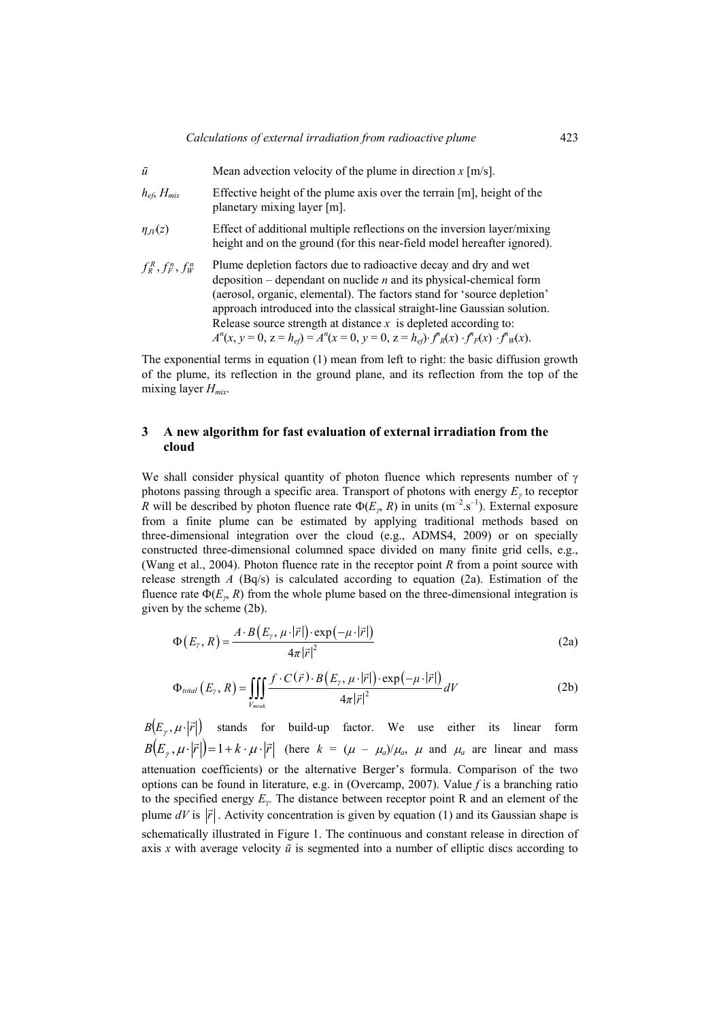| $\bar{u}$              | Mean advection velocity of the plume in direction $x \, [\text{m/s}]$ .                                                                                                                                                                                                                                                                                                                                                                                                              |
|------------------------|--------------------------------------------------------------------------------------------------------------------------------------------------------------------------------------------------------------------------------------------------------------------------------------------------------------------------------------------------------------------------------------------------------------------------------------------------------------------------------------|
| $h_{ef}$ , $H_{mix}$   | Effective height of the plume axis over the terrain [m], height of the<br>planetary mixing layer [m].                                                                                                                                                                                                                                                                                                                                                                                |
| $\eta_{J}(\mathbf{z})$ | Effect of additional multiple reflections on the inversion layer/mixing<br>height and on the ground (for this near-field model hereafter ignored).                                                                                                                                                                                                                                                                                                                                   |
| $f_R^R, f_F^n, f_W^n$  | Plume depletion factors due to radioactive decay and dry and wet<br>deposition – dependant on nuclide $n$ and its physical-chemical form<br>(aerosol, organic, elemental). The factors stand for 'source depletion'<br>approach introduced into the classical straight-line Gaussian solution.<br>Release source strength at distance $x$ is depleted according to:<br>$A^{n}(x, y = 0, z = h_{ef}) = A^{n}(x = 0, y = 0, z = h_{ef}) \cdot f^{n}(x) \cdot f^{n}(x) \cdot f^{n}(x).$ |

The exponential terms in equation (1) mean from left to right: the basic diffusion growth of the plume, its reflection in the ground plane, and its reflection from the top of the mixing layer *Hmix*.

## **3 A new algorithm for fast evaluation of external irradiation from the cloud**

We shall consider physical quantity of photon fluence which represents number of  $\gamma$ photons passing through a specific area. Transport of photons with energy *E*γ to receptor *R* will be described by photon fluence rate  $\Phi(E_{\gamma}, R)$  in units (m<sup>-2</sup>.s<sup>-1</sup>). External exposure from a finite plume can be estimated by applying traditional methods based on three-dimensional integration over the cloud (e.g., ADMS4, 2009) or on specially constructed three-dimensional columned space divided on many finite grid cells, e.g., (Wang et al., 2004). Photon fluence rate in the receptor point *R* from a point source with release strength  $A$  (Bq/s) is calculated according to equation (2a). Estimation of the fluence rate  $\Phi(E_{\gamma}, R)$  from the whole plume based on the three-dimensional integration is given by the scheme (2b).

$$
\Phi(E_{\gamma}, R) = \frac{A \cdot B(E_{\gamma}, \mu \cdot |\vec{r}|) \cdot \exp(-\mu \cdot |\vec{r}|)}{4\pi |\vec{r}|^2}
$$
(2a)

$$
\Phi_{total}(E_{\gamma}, R) = \iiint_{V_{mrad}} \frac{f \cdot C(\vec{r}) \cdot B(E_{\gamma}, \mu \cdot |\vec{r}|) \cdot \exp(-\mu \cdot |\vec{r}|)}{4\pi |\vec{r}|^2} dV
$$
\n(2b)

 $B(E_\gamma, \mu \cdot |\vec{r}|)$  stands for build-up factor. We use either its linear form  $B(E_v, \mu | \vec{r}|) = 1 + k \cdot \mu \cdot |\vec{r}|$  (here  $k = (\mu - \mu_a)/\mu_a$ ,  $\mu$  and  $\mu_a$  are linear and mass attenuation coefficients) or the alternative Berger's formula. Comparison of the two options can be found in literature, e.g. in (Overcamp, 2007). Value *f* is a branching ratio to the specified energy *E*γ. The distance between receptor point R and an element of the plume  $dV$  is  $|\vec{r}|$ . Activity concentration is given by equation (1) and its Gaussian shape is schematically illustrated in Figure 1. The continuous and constant release in direction of axis *x* with average velocity  $\bar{u}$  is segmented into a number of elliptic discs according to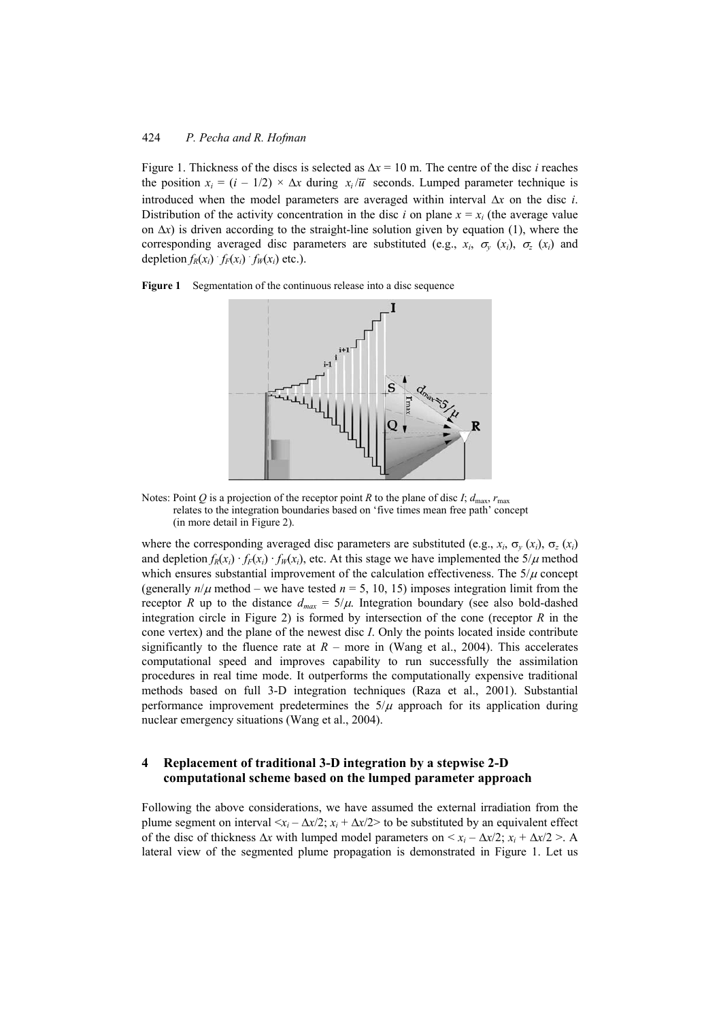Figure 1. Thickness of the discs is selected as  $\Delta x = 10$  m. The centre of the disc *i* reaches the position  $x_i = (i - 1/2) \times \Delta x$  during  $x_i/\overline{u}$  seconds. Lumped parameter technique is introduced when the model parameters are averaged within interval Δ*x* on the disc *i*. Distribution of the activity concentration in the disc *i* on plane  $x = x_i$  (the average value on  $\Delta x$ ) is driven according to the straight-line solution given by equation (1), where the corresponding averaged disc parameters are substituted (e.g.,  $x_i$ ,  $\sigma_y$  ( $x_i$ ),  $\sigma_z$  ( $x_i$ ) and depletion  $f_R(x_i)$   $f_F(x_i)$   $f_W(x_i)$  etc.).

**Figure 1** Segmentation of the continuous release into a disc sequence



Notes: Point *Q* is a projection of the receptor point *R* to the plane of disc *I*;  $d_{\text{max}}$ ,  $r_{\text{max}}$ relates to the integration boundaries based on 'five times mean free path' concept (in more detail in Figure 2).

where the corresponding averaged disc parameters are substituted (e.g.,  $x_i$ ,  $\sigma_y(x_i)$ ,  $\sigma_z(x_i)$ ) and depletion  $f_R(x_i) \cdot f_F(x_i) \cdot f_W(x_i)$ , etc. At this stage we have implemented the  $5/\mu$  method which ensures substantial improvement of the calculation effectiveness. The  $5/\mu$  concept (generally  $n/\mu$  method – we have tested  $n = 5$ , 10, 15) imposes integration limit from the receptor *R* up to the distance  $d_{max} = 5/\mu$ . Integration boundary (see also bold-dashed integration circle in Figure 2) is formed by intersection of the cone (receptor *R* in the cone vertex) and the plane of the newest disc *I*. Only the points located inside contribute significantly to the fluence rate at  $R$  – more in (Wang et al., 2004). This accelerates computational speed and improves capability to run successfully the assimilation procedures in real time mode. It outperforms the computationally expensive traditional methods based on full 3-D integration techniques (Raza et al., 2001). Substantial performance improvement predetermines the  $5/\mu$  approach for its application during nuclear emergency situations (Wang et al., 2004).

## **4 Replacement of traditional 3-D integration by a stepwise 2-D computational scheme based on the lumped parameter approach**

Following the above considerations, we have assumed the external irradiation from the plume segment on interval  $\langle x_i - \Delta x/2; x_i + \Delta x/2 \rangle$  to be substituted by an equivalent effect of the disc of thickness  $\Delta x$  with lumped model parameters on  $\langle x_i - \Delta x/2; x_i + \Delta x/2 \rangle$ . A lateral view of the segmented plume propagation is demonstrated in Figure 1. Let us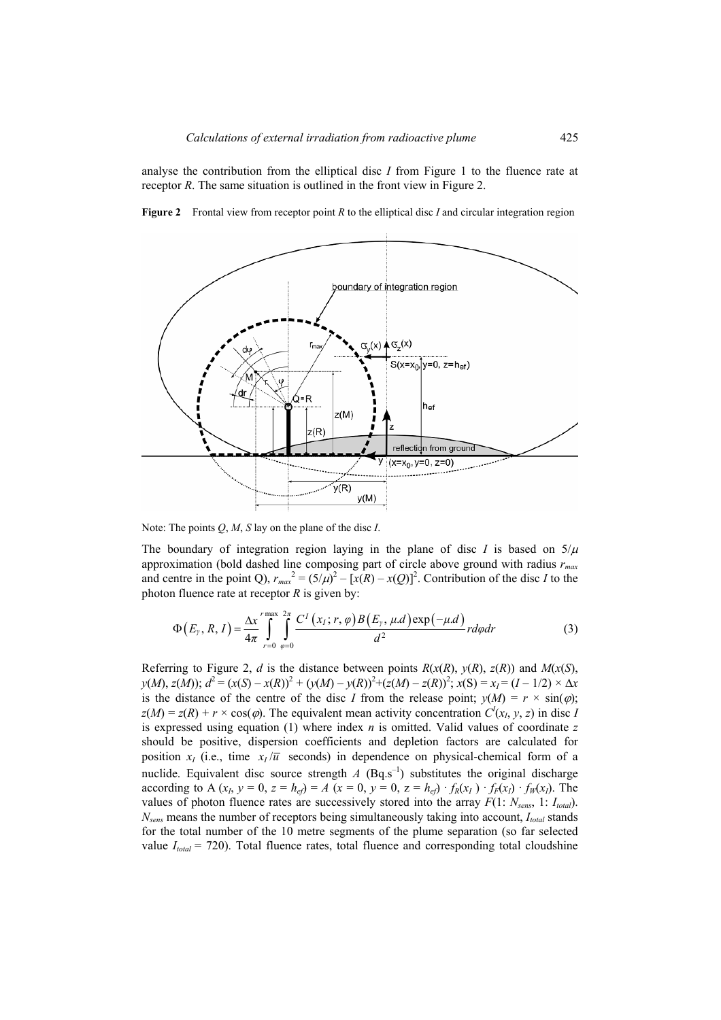analyse the contribution from the elliptical disc *I* from Figure 1 to the fluence rate at receptor *R*. The same situation is outlined in the front view in Figure 2.





Note: The points *Q*, *M*, *S* lay on the plane of the disc *I*.

The boundary of integration region laying in the plane of disc *I* is based on  $5/\mu$ approximation (bold dashed line composing part of circle above ground with radius *rmax* and centre in the point Q),  $r_{max}^2 = (5/\mu)^2 - [x(R) - x(Q)]^2$ . Contribution of the disc *I* to the photon fluence rate at receptor *R* is given by:

$$
\Phi(E_{\gamma}, R, I) = \frac{\Delta x}{4\pi} \int_{r=0}^{r \max} \int_{\varphi=0}^{2\pi} \frac{C^I(x_I; r, \varphi) B(E_{\gamma}, \mu, d) \exp(-\mu, d)}{d^2} r d\varphi dr \tag{3}
$$

Referring to Figure 2, *d* is the distance between points  $R(x(R), y(R), z(R))$  and  $M(x(S))$ ,  $y(M), z(M); d<sup>2</sup> = (x(S) - x(R))^{2} + (y(M) - y(R))^{2} + (z(M) - z(R))^{2}; x(S) = x_{I} = (I - 1/2) \times \Delta x$ is the distance of the centre of the disc *I* from the release point;  $y(M) = r \times \sin(\varphi)$ ;  $z(M) = z(R) + r \times \cos(\varphi)$ . The equivalent mean activity concentration  $C^l(x_l, y, z)$  in disc *I* is expressed using equation (1) where index *n* is omitted. Valid values of coordinate *z* should be positive, dispersion coefficients and depletion factors are calculated for position  $x_I$  (i.e., time  $x_I/\overline{u}$  seconds) in dependence on physical-chemical form of a nuclide. Equivalent disc source strength  $A$  (Bq.s<sup>-1</sup>) substitutes the original discharge according to A  $(x_l, y = 0, z = h_{ef}) = A$   $(x = 0, y = 0, z = h_{ef}) \cdot f_R(x_l) \cdot f_R(x_l) \cdot f_W(x_l)$ . The values of photon fluence rates are successively stored into the array  $F(1: N_{sens}, 1: I_{total})$ .  $N_{sens}$  means the number of receptors being simultaneously taking into account, *I<sub>total</sub>* stands for the total number of the 10 metre segments of the plume separation (so far selected value *Itotal* = 720). Total fluence rates, total fluence and corresponding total cloudshine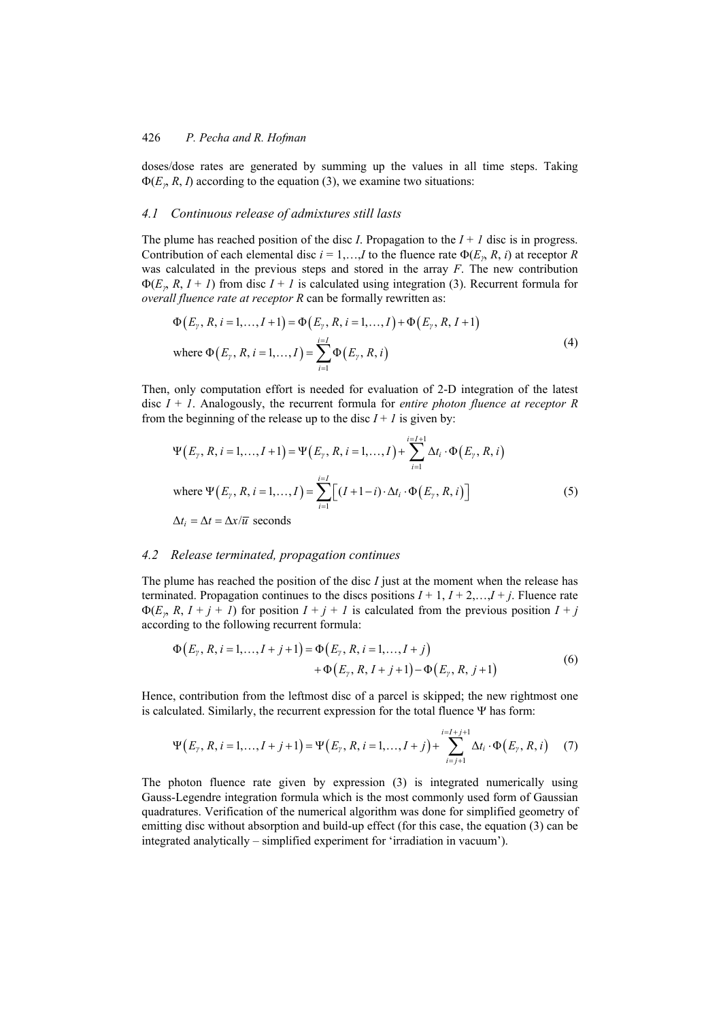doses/dose rates are generated by summing up the values in all time steps. Taking  $\Phi(E_{\gamma}, R, I)$  according to the equation (3), we examine two situations:

#### *4.1 Continuous release of admixtures still lasts*

The plume has reached position of the disc *I*. Propagation to the  $I + I$  disc is in progress. Contribution of each elemental disc  $i = 1,...,I$  to the fluence rate  $\Phi(E_i, R_i)$  at receptor *R* was calculated in the previous steps and stored in the array *F*. The new contribution  $\Phi(E_{\gamma}, R, I + I)$  from disc  $I + I$  is calculated using integration (3). Recurrent formula for *overall fluence rate at receptor R* can be formally rewritten as:

$$
\Phi(E_{\gamma}, R, i = 1,..., I + 1) = \Phi(E_{\gamma}, R, i = 1,..., I) + \Phi(E_{\gamma}, R, I + 1)
$$
  
where  $\Phi(E_{\gamma}, R, i = 1,..., I) = \sum_{i=1}^{i=I} \Phi(E_{\gamma}, R, i)$  (4)

Then, only computation effort is needed for evaluation of 2-D integration of the latest disc *I* + *1*. Analogously, the recurrent formula for *entire photon fluence at receptor R* from the beginning of the release up to the disc  $I + I$  is given by:

$$
\Psi(E_{\gamma}, R, i = 1,..., I + 1) = \Psi(E_{\gamma}, R, i = 1,..., I) + \sum_{i=1}^{i=I+1} \Delta t_i \cdot \Phi(E_{\gamma}, R, i)
$$
  
where  $\Psi(E_{\gamma}, R, i = 1,..., I) = \sum_{i=1}^{i=I} [(I + 1 - i) \cdot \Delta t_i \cdot \Phi(E_{\gamma}, R, i)]$  (5)  

$$
\Delta t_i = \Delta t = \Delta x / \overline{u} \text{ seconds}
$$

#### *4.2 Release terminated, propagation continues*

The plume has reached the position of the disc *I* just at the moment when the release has terminated. Propagation continues to the discs positions  $I + 1$ ,  $I + 2$ , ..., $I + j$ . Fluence rate  $\Phi(E_{\gamma}, R, I + j + I)$  for position  $I + j + I$  is calculated from the previous position  $I + j$ according to the following recurrent formula:

$$
\Phi(E_{\gamma}, R, i = 1,..., I + j + 1) = \Phi(E_{\gamma}, R, i = 1,..., I + j) \n+ \Phi(E_{\gamma}, R, I + j + 1) - \Phi(E_{\gamma}, R, j + 1)
$$
\n(6)

Hence, contribution from the leftmost disc of a parcel is skipped; the new rightmost one is calculated. Similarly, the recurrent expression for the total fluence Ψ has form:

$$
\Psi(E_{\gamma}, R, i = 1,..., I + j + 1) = \Psi(E_{\gamma}, R, i = 1,..., I + j) + \sum_{i=j+1}^{i=I+j+1} \Delta t_i \cdot \Phi(E_{\gamma}, R, i) \tag{7}
$$

The photon fluence rate given by expression (3) is integrated numerically using Gauss-Legendre integration formula which is the most commonly used form of Gaussian quadratures. Verification of the numerical algorithm was done for simplified geometry of emitting disc without absorption and build-up effect (for this case, the equation (3) can be integrated analytically – simplified experiment for 'irradiation in vacuum').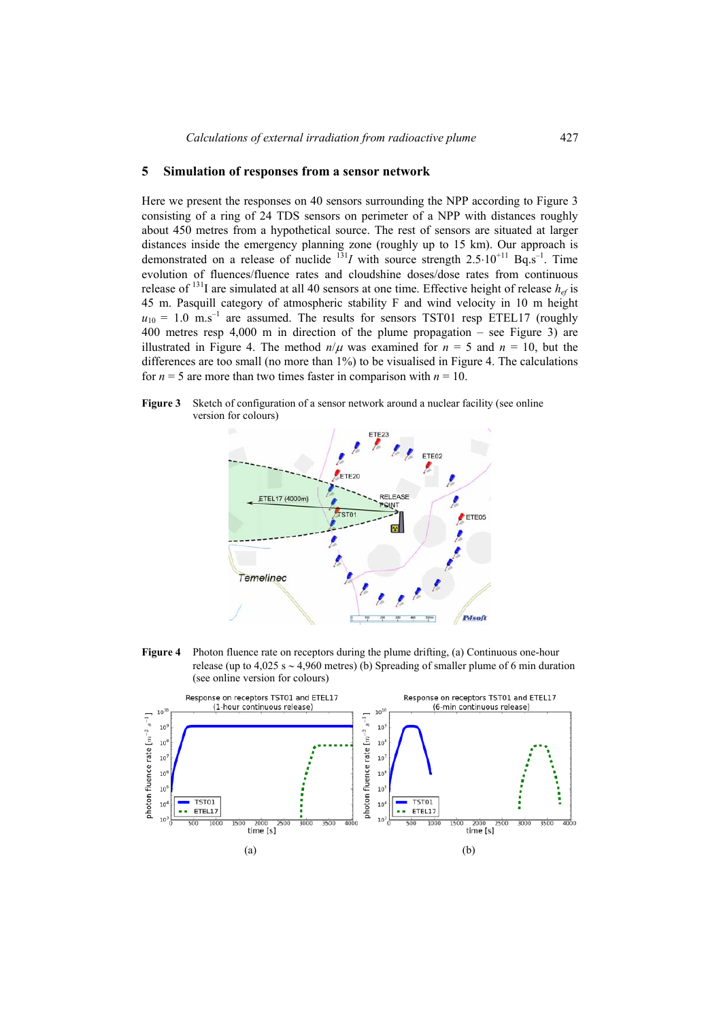## **5 Simulation of responses from a sensor network**

Here we present the responses on 40 sensors surrounding the NPP according to Figure 3 consisting of a ring of 24 TDS sensors on perimeter of a NPP with distances roughly about 450 metres from a hypothetical source. The rest of sensors are situated at larger distances inside the emergency planning zone (roughly up to 15 km). Our approach is demonstrated on a release of nuclide  $^{131}I$  with source strength  $2.5 \cdot 10^{+11}$  Bq.s<sup>-1</sup>. Time evolution of fluences/fluence rates and cloudshine doses/dose rates from continuous release of <sup>131</sup>I are simulated at all 40 sensors at one time. Effective height of release  $h_{\alpha}$  is 45 m. Pasquill category of atmospheric stability F and wind velocity in 10 m height  $u_{10} = 1.0$  m.s<sup>-1</sup> are assumed. The results for sensors TST01 resp ETEL17 (roughly 400 metres resp 4,000 m in direction of the plume propagation – see Figure 3) are illustrated in Figure 4. The method  $n/\mu$  was examined for  $n = 5$  and  $n = 10$ , but the differences are too small (no more than 1%) to be visualised in Figure 4. The calculations for  $n = 5$  are more than two times faster in comparison with  $n = 10$ .

**Figure 3** Sketch of configuration of a sensor network around a nuclear facility (see online version for colours)



**Figure 4** Photon fluence rate on receptors during the plume drifting, (a) Continuous one-hour release (up to 4,025 s ∼ 4,960 metres) (b) Spreading of smaller plume of 6 min duration (see online version for colours)

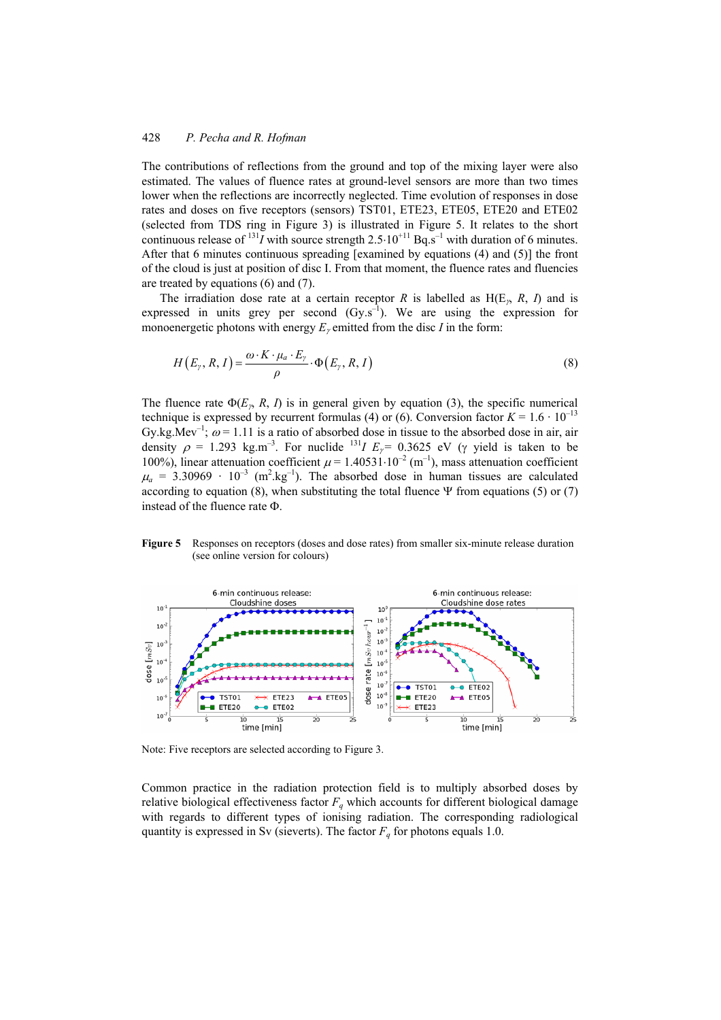The contributions of reflections from the ground and top of the mixing layer were also estimated. The values of fluence rates at ground-level sensors are more than two times lower when the reflections are incorrectly neglected. Time evolution of responses in dose rates and doses on five receptors (sensors) TST01, ETE23, ETE05, ETE20 and ETE02 (selected from TDS ring in Figure 3) is illustrated in Figure 5. It relates to the short continuous release of  $^{131}I$  with source strength  $2.5 \cdot 10^{+11}$  Bq.s<sup>-1</sup> with duration of 6 minutes. After that 6 minutes continuous spreading [examined by equations (4) and (5)] the front of the cloud is just at position of disc I. From that moment, the fluence rates and fluencies are treated by equations (6) and (7).

The irradiation dose rate at a certain receptor *R* is labelled as  $H(E_7, R, I)$  and is expressed in units grey per second  $(Gy.s^{-1})$ . We are using the expression for monoenergetic photons with energy  $E<sub>γ</sub>$  emitted from the disc *I* in the form:

$$
H(E_{\gamma}, R, I) = \frac{\omega \cdot K \cdot \mu_a \cdot E_{\gamma}}{\rho} \cdot \Phi(E_{\gamma}, R, I)
$$
\n(8)

The fluence rate  $\Phi(E_{\gamma}, R, I)$  is in general given by equation (3), the specific numerical technique is expressed by recurrent formulas (4) or (6). Conversion factor  $K = 1.6 \cdot 10^{-13}$ Gy.kg.Mev<sup>-1</sup>;  $\omega$  = 1.11 is a ratio of absorbed dose in tissue to the absorbed dose in air, air density  $\rho = 1.293 \text{ kg.m}^{-3}$ . For nuclide <sup>131</sup>*I*  $E<sub>y</sub> = 0.3625 \text{ eV}$  (γ yield is taken to be 100%), linear attenuation coefficient  $\mu = 1.40531 \cdot 10^{-2}$  (m<sup>-1</sup>), mass attenuation coefficient  $\mu_a$  = 3.30969 · 10<sup>-3</sup> (m<sup>2</sup>.kg<sup>-1</sup>). The absorbed dose in human tissues are calculated according to equation (8), when substituting the total fluence Ψ from equations (5) or (7) instead of the fluence rate Φ.

**Figure 5** Responses on receptors (doses and dose rates) from smaller six-minute release duration (see online version for colours)



Note: Five receptors are selected according to Figure 3.

Common practice in the radiation protection field is to multiply absorbed doses by relative biological effectiveness factor  $F_q$  which accounts for different biological damage with regards to different types of ionising radiation. The corresponding radiological quantity is expressed in Sv (sieverts). The factor  $F_q$  for photons equals 1.0.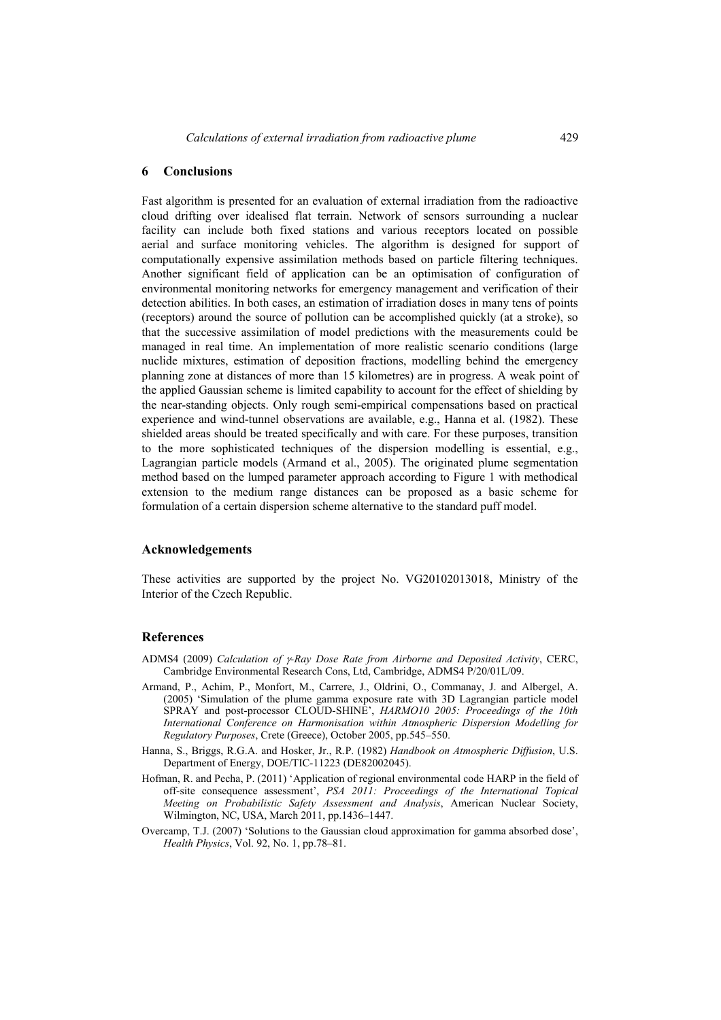#### **6 Conclusions**

Fast algorithm is presented for an evaluation of external irradiation from the radioactive cloud drifting over idealised flat terrain. Network of sensors surrounding a nuclear facility can include both fixed stations and various receptors located on possible aerial and surface monitoring vehicles. The algorithm is designed for support of computationally expensive assimilation methods based on particle filtering techniques. Another significant field of application can be an optimisation of configuration of environmental monitoring networks for emergency management and verification of their detection abilities. In both cases, an estimation of irradiation doses in many tens of points (receptors) around the source of pollution can be accomplished quickly (at a stroke), so that the successive assimilation of model predictions with the measurements could be managed in real time. An implementation of more realistic scenario conditions (large nuclide mixtures, estimation of deposition fractions, modelling behind the emergency planning zone at distances of more than 15 kilometres) are in progress. A weak point of the applied Gaussian scheme is limited capability to account for the effect of shielding by the near-standing objects. Only rough semi-empirical compensations based on practical experience and wind-tunnel observations are available, e.g., Hanna et al. (1982). These shielded areas should be treated specifically and with care. For these purposes, transition to the more sophisticated techniques of the dispersion modelling is essential, e.g., Lagrangian particle models (Armand et al., 2005). The originated plume segmentation method based on the lumped parameter approach according to Figure 1 with methodical extension to the medium range distances can be proposed as a basic scheme for formulation of a certain dispersion scheme alternative to the standard puff model.

#### **Acknowledgements**

These activities are supported by the project No. VG20102013018, Ministry of the Interior of the Czech Republic.

#### **References**

- ADMS4 (2009) *Calculation of* γ*-Ray Dose Rate from Airborne and Deposited Activity*, CERC, Cambridge Environmental Research Cons, Ltd, Cambridge, ADMS4 P/20/01L/09.
- Armand, P., Achim, P., Monfort, M., Carrere, J., Oldrini, O., Commanay, J. and Albergel, A. (2005) 'Simulation of the plume gamma exposure rate with 3D Lagrangian particle model SPRAY and post-processor CLOUD-SHINE', *HARMO10 2005: Proceedings of the 10th International Conference on Harmonisation within Atmospheric Dispersion Modelling for Regulatory Purposes*, Crete (Greece), October 2005, pp.545–550.
- Hanna, S., Briggs, R.G.A. and Hosker, Jr., R.P. (1982) *Handbook on Atmospheric Diffusion*, U.S. Department of Energy, DOE/TIC-11223 (DE82002045).
- Hofman, R. and Pecha, P. (2011) 'Application of regional environmental code HARP in the field of off-site consequence assessment', *PSA 2011: Proceedings of the International Topical Meeting on Probabilistic Safety Assessment and Analysis*, American Nuclear Society, Wilmington, NC, USA, March 2011, pp.1436–1447.
- Overcamp, T.J. (2007) 'Solutions to the Gaussian cloud approximation for gamma absorbed dose', *Health Physics*, Vol. 92, No. 1, pp.78–81.